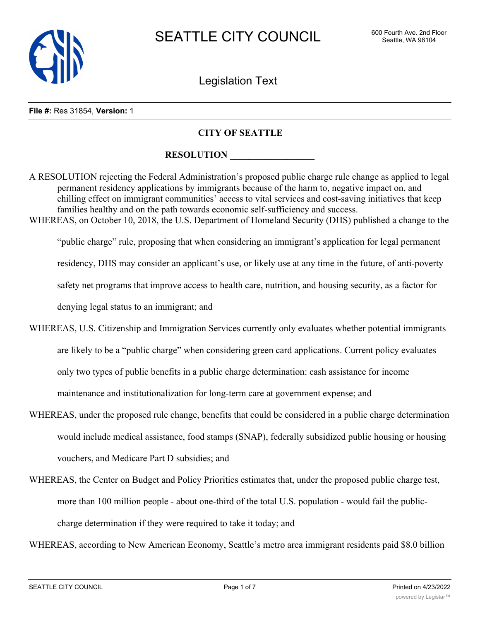

Legislation Text

#### **File #:** Res 31854, **Version:** 1

## **CITY OF SEATTLE**

## **RESOLUTION**

A RESOLUTION rejecting the Federal Administration's proposed public charge rule change as applied to legal permanent residency applications by immigrants because of the harm to, negative impact on, and chilling effect on immigrant communities' access to vital services and cost-saving initiatives that keep families healthy and on the path towards economic self-sufficiency and success. WHEREAS, on October 10, 2018, the U.S. Department of Homeland Security (DHS) published a change to the

"public charge" rule, proposing that when considering an immigrant's application for legal permanent residency, DHS may consider an applicant's use, or likely use at any time in the future, of anti-poverty safety net programs that improve access to health care, nutrition, and housing security, as a factor for denying legal status to an immigrant; and

- WHEREAS, U.S. Citizenship and Immigration Services currently only evaluates whether potential immigrants are likely to be a "public charge" when considering green card applications. Current policy evaluates only two types of public benefits in a public charge determination: cash assistance for income maintenance and institutionalization for long-term care at government expense; and
- WHEREAS, under the proposed rule change, benefits that could be considered in a public charge determination would include medical assistance, food stamps (SNAP), federally subsidized public housing or housing vouchers, and Medicare Part D subsidies; and
- WHEREAS, the Center on Budget and Policy Priorities estimates that, under the proposed public charge test, more than 100 million people - about one-third of the total U.S. population - would fail the publiccharge determination if they were required to take it today; and

WHEREAS, according to New American Economy, Seattle's metro area immigrant residents paid \$8.0 billion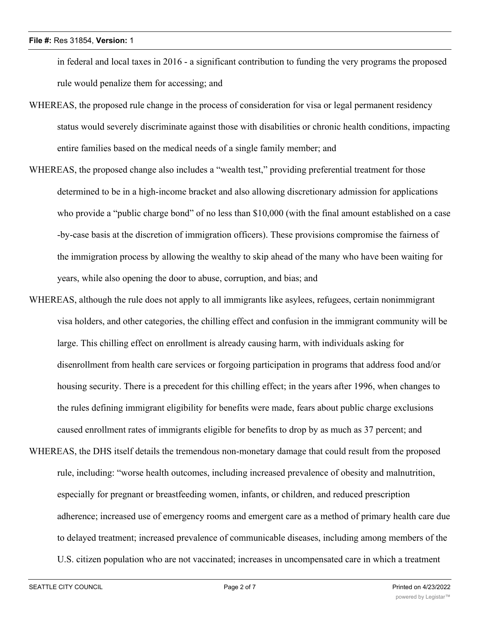### **File #:** Res 31854, **Version:** 1

in federal and local taxes in 2016 - a significant contribution to funding the very programs the proposed rule would penalize them for accessing; and

- WHEREAS, the proposed rule change in the process of consideration for visa or legal permanent residency status would severely discriminate against those with disabilities or chronic health conditions, impacting entire families based on the medical needs of a single family member; and
- WHEREAS, the proposed change also includes a "wealth test," providing preferential treatment for those determined to be in a high-income bracket and also allowing discretionary admission for applications who provide a "public charge bond" of no less than \$10,000 (with the final amount established on a case -by-case basis at the discretion of immigration officers). These provisions compromise the fairness of the immigration process by allowing the wealthy to skip ahead of the many who have been waiting for years, while also opening the door to abuse, corruption, and bias; and
- WHEREAS, although the rule does not apply to all immigrants like asylees, refugees, certain nonimmigrant visa holders, and other categories, the chilling effect and confusion in the immigrant community will be large. This chilling effect on enrollment is already causing harm, with individuals asking for disenrollment from health care services or forgoing participation in programs that address food and/or housing security. There is a precedent for this chilling effect; in the years after 1996, when changes to the rules defining immigrant eligibility for benefits were made, fears about public charge exclusions caused enrollment rates of immigrants eligible for benefits to drop by as much as 37 percent; and
- WHEREAS, the DHS itself details the tremendous non-monetary damage that could result from the proposed rule, including: "worse health outcomes, including increased prevalence of obesity and malnutrition, especially for pregnant or breastfeeding women, infants, or children, and reduced prescription adherence; increased use of emergency rooms and emergent care as a method of primary health care due to delayed treatment; increased prevalence of communicable diseases, including among members of the U.S. citizen population who are not vaccinated; increases in uncompensated care in which a treatment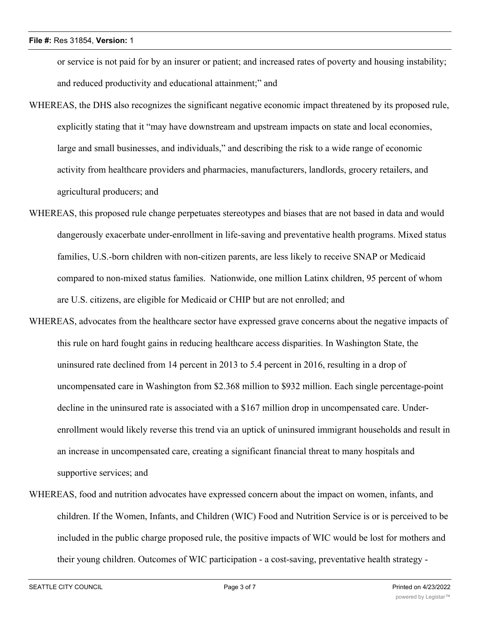### **File #:** Res 31854, **Version:** 1

or service is not paid for by an insurer or patient; and increased rates of poverty and housing instability; and reduced productivity and educational attainment;" and

- WHEREAS, the DHS also recognizes the significant negative economic impact threatened by its proposed rule, explicitly stating that it "may have downstream and upstream impacts on state and local economies, large and small businesses, and individuals," and describing the risk to a wide range of economic activity from healthcare providers and pharmacies, manufacturers, landlords, grocery retailers, and agricultural producers; and
- WHEREAS, this proposed rule change perpetuates stereotypes and biases that are not based in data and would dangerously exacerbate under-enrollment in life-saving and preventative health programs. Mixed status families, U.S.-born children with non-citizen parents, are less likely to receive SNAP or Medicaid compared to non-mixed status families. Nationwide, one million Latinx children, 95 percent of whom are U.S. citizens, are eligible for Medicaid or CHIP but are not enrolled; and
- WHEREAS, advocates from the healthcare sector have expressed grave concerns about the negative impacts of this rule on hard fought gains in reducing healthcare access disparities. In Washington State, the uninsured rate declined from 14 percent in 2013 to 5.4 percent in 2016, resulting in a drop of uncompensated care in Washington from \$2.368 million to \$932 million. Each single percentage-point decline in the uninsured rate is associated with a \$167 million drop in uncompensated care. Underenrollment would likely reverse this trend via an uptick of uninsured immigrant households and result in an increase in uncompensated care, creating a significant financial threat to many hospitals and supportive services; and
- WHEREAS, food and nutrition advocates have expressed concern about the impact on women, infants, and children. If the Women, Infants, and Children (WIC) Food and Nutrition Service is or is perceived to be included in the public charge proposed rule, the positive impacts of WIC would be lost for mothers and their young children. Outcomes of WIC participation - a cost-saving, preventative health strategy -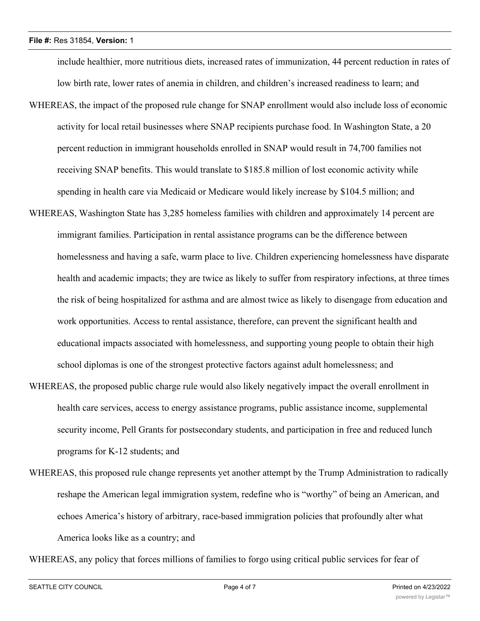include healthier, more nutritious diets, increased rates of immunization, 44 percent reduction in rates of low birth rate, lower rates of anemia in children, and children's increased readiness to learn; and WHEREAS, the impact of the proposed rule change for SNAP enrollment would also include loss of economic activity for local retail businesses where SNAP recipients purchase food. In Washington State, a 20 percent reduction in immigrant households enrolled in SNAP would result in 74,700 families not receiving SNAP benefits. This would translate to \$185.8 million of lost economic activity while spending in health care via Medicaid or Medicare would likely increase by \$104.5 million; and WHEREAS, Washington State has 3,285 homeless families with children and approximately 14 percent are

immigrant families. Participation in rental assistance programs can be the difference between homelessness and having a safe, warm place to live. Children experiencing homelessness have disparate health and academic impacts; they are twice as likely to suffer from respiratory infections, at three times the risk of being hospitalized for asthma and are almost twice as likely to disengage from education and work opportunities. Access to rental assistance, therefore, can prevent the significant health and educational impacts associated with homelessness, and supporting young people to obtain their high school diplomas is one of the strongest protective factors against adult homelessness; and

- WHEREAS, the proposed public charge rule would also likely negatively impact the overall enrollment in health care services, access to energy assistance programs, public assistance income, supplemental security income, Pell Grants for postsecondary students, and participation in free and reduced lunch programs for K-12 students; and
- WHEREAS, this proposed rule change represents yet another attempt by the Trump Administration to radically reshape the American legal immigration system, redefine who is "worthy" of being an American, and echoes America's history of arbitrary, race-based immigration policies that profoundly alter what America looks like as a country; and

WHEREAS, any policy that forces millions of families to forgo using critical public services for fear of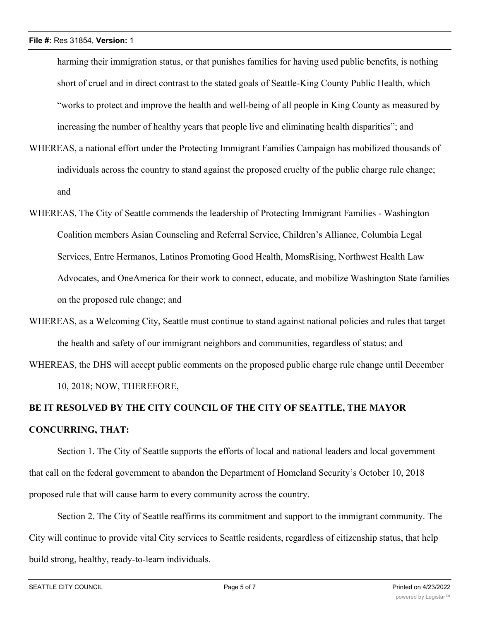harming their immigration status, or that punishes families for having used public benefits, is nothing short of cruel and in direct contrast to the stated goals of Seattle-King County Public Health, which "works to protect and improve the health and well-being of all people in King County as measured by increasing the number of healthy years that people live and eliminating health disparities"; and

- WHEREAS, a national effort under the Protecting Immigrant Families Campaign has mobilized thousands of individuals across the country to stand against the proposed cruelty of the public charge rule change; and
- WHEREAS, The City of Seattle commends the leadership of Protecting Immigrant Families Washington Coalition members Asian Counseling and Referral Service, Children's Alliance, Columbia Legal Services, Entre Hermanos, Latinos Promoting Good Health, MomsRising, Northwest Health Law Advocates, and OneAmerica for their work to connect, educate, and mobilize Washington State families on the proposed rule change; and
- WHEREAS, as a Welcoming City, Seattle must continue to stand against national policies and rules that target the health and safety of our immigrant neighbors and communities, regardless of status; and
- WHEREAS, the DHS will accept public comments on the proposed public charge rule change until December 10, 2018; NOW, THEREFORE,

# **BE IT RESOLVED BY THE CITY COUNCIL OF THE CITY OF SEATTLE, THE MAYOR CONCURRING, THAT:**

Section 1. The City of Seattle supports the efforts of local and national leaders and local government that call on the federal government to abandon the Department of Homeland Security's October 10, 2018 proposed rule that will cause harm to every community across the country.

Section 2. The City of Seattle reaffirms its commitment and support to the immigrant community. The City will continue to provide vital City services to Seattle residents, regardless of citizenship status, that help build strong, healthy, ready-to-learn individuals.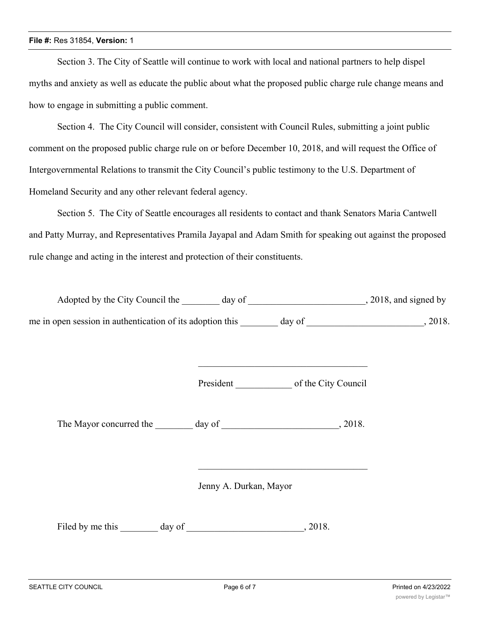### **File #:** Res 31854, **Version:** 1

Section 3. The City of Seattle will continue to work with local and national partners to help dispel myths and anxiety as well as educate the public about what the proposed public charge rule change means and how to engage in submitting a public comment.

Section 4. The City Council will consider, consistent with Council Rules, submitting a joint public comment on the proposed public charge rule on or before December 10, 2018, and will request the Office of Intergovernmental Relations to transmit the City Council's public testimony to the U.S. Department of Homeland Security and any other relevant federal agency.

Section 5. The City of Seattle encourages all residents to contact and thank Senators Maria Cantwell and Patty Murray, and Representatives Pramila Jayapal and Adam Smith for speaking out against the proposed rule change and acting in the interest and protection of their constituents.

| Adopted by the City Council the                           | day of |        | , 2018, and signed by |
|-----------------------------------------------------------|--------|--------|-----------------------|
| me in open session in authentication of its adoption this |        | day of | 2018.                 |

President \_\_\_\_\_\_\_\_\_\_\_\_\_\_\_ of the City Council

The Mayor concurred the day of 3018.

Jenny A. Durkan, Mayor

Filed by me this \_\_\_\_\_\_\_ day of \_\_\_\_\_\_\_\_\_\_\_\_\_\_\_\_\_\_\_\_\_\_\_\_\_, 2018.